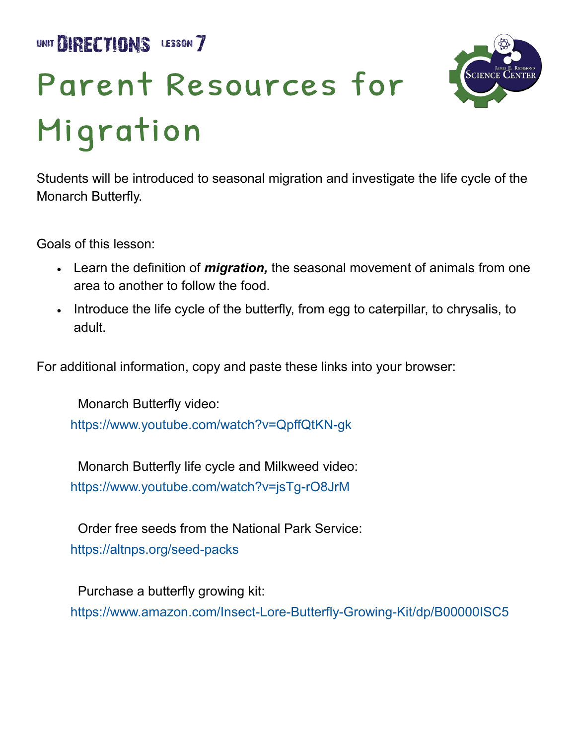UNIT **DIRECTIONS** LESSON 7

## Parent Resources for Migration



Students will be introduced to seasonal migration and investigate the life cycle of the Monarch Butterfly.

Goals of this lesson:

- Learn the definition of *migration,* the seasonal movement of animals from one area to another to follow the food.
- Introduce the life cycle of the butterfly, from egg to caterpillar, to chrysalis, to adult.

For additional information, copy and paste these links into your browser:

 Monarch Butterfly video: [https://www.youtube.com/watch?v=QpffQtKN](https://www.youtube.com/watch?v=QpffQtKN-gk)-gk

 Monarch Butterfly life cycle and Milkweed video: [https://www.youtube.com/watch?v=jsTg](https://www.youtube.com/watch?v=jsTg-rO8JrM)-rO8JrM

 Order free seeds from the National Park Service: [https://altnps.org/seed](https://altnps.org/seed-packs)-packs

 Purchase a butterfly growing kit: [https://www.amazon.com/Insect](https://www.amazon.com/Insect-Lore-Butterfly-Growing-Kit/dp/B00000ISC5)-Lore-Butterfly-Growing-Kit/dp/B00000ISC5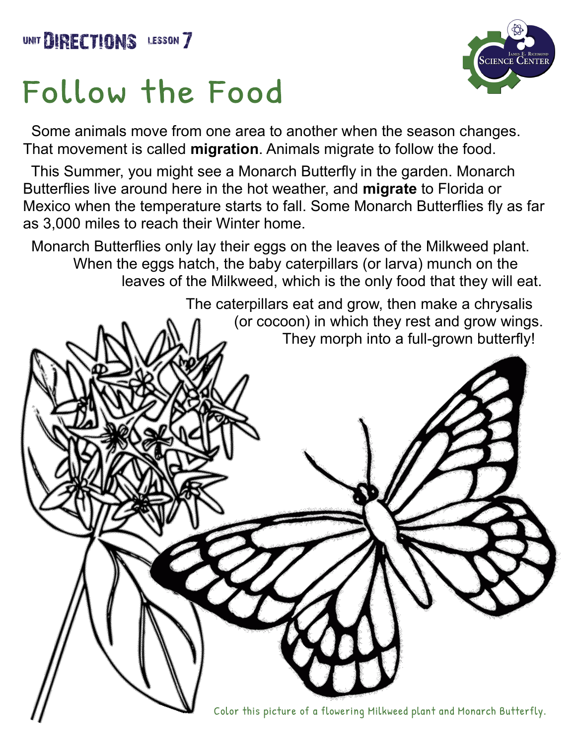## Follow the Food



 Some animals move from one area to another when the season changes. That movement is called **migration**. Animals migrate to follow the food.

 This Summer, you might see a Monarch Butterfly in the garden. Monarch Butterflies live around here in the hot weather, and **migrate** to Florida or Mexico when the temperature starts to fall. Some Monarch Butterflies fly as far as 3,000 miles to reach their Winter home.

 Monarch Butterflies only lay their eggs on the leaves of the Milkweed plant. When the eggs hatch, the baby caterpillars (or larva) munch on the leaves of the Milkweed, which is the only food that they will eat.

> The caterpillars eat and grow, then make a chrysalis (or cocoon) in which they rest and grow wings. They morph into a full-grown butterfly!